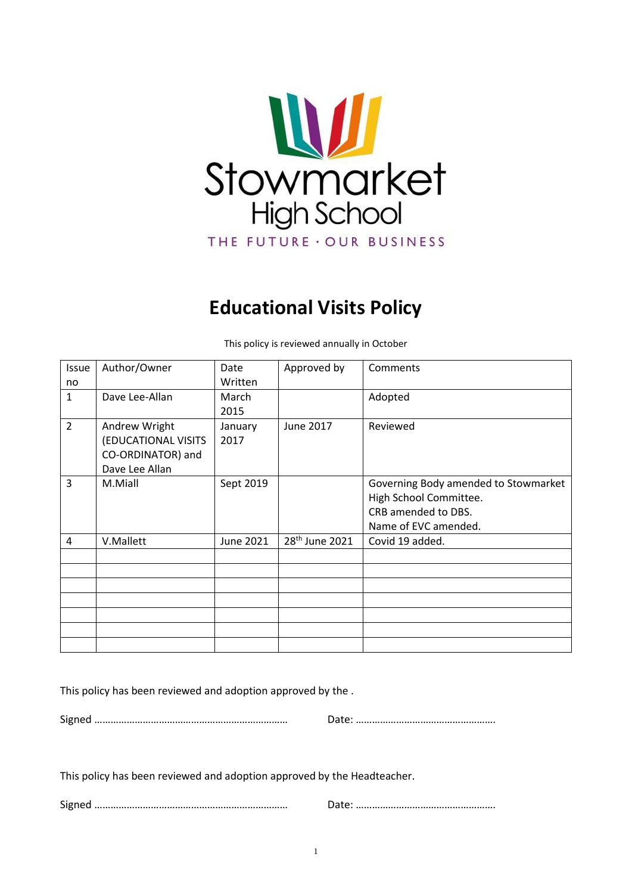

# **Educational Visits Policy**

| <b>Issue</b>   | Author/Owner        | Date      | Approved by                | Comments                             |
|----------------|---------------------|-----------|----------------------------|--------------------------------------|
| no             |                     | Written   |                            |                                      |
| $\mathbf{1}$   | Dave Lee-Allan      | March     |                            | Adopted                              |
|                |                     | 2015      |                            |                                      |
| $\overline{2}$ | Andrew Wright       | January   | June 2017                  | Reviewed                             |
|                | (EDUCATIONAL VISITS | 2017      |                            |                                      |
|                | CO-ORDINATOR) and   |           |                            |                                      |
|                | Dave Lee Allan      |           |                            |                                      |
| 3              | M.Miall             | Sept 2019 |                            | Governing Body amended to Stowmarket |
|                |                     |           |                            | High School Committee.               |
|                |                     |           |                            | CRB amended to DBS.                  |
|                |                     |           |                            | Name of EVC amended.                 |
| 4              | V.Mallett           | June 2021 | 28 <sup>th</sup> June 2021 | Covid 19 added.                      |
|                |                     |           |                            |                                      |
|                |                     |           |                            |                                      |
|                |                     |           |                            |                                      |
|                |                     |           |                            |                                      |
|                |                     |           |                            |                                      |
|                |                     |           |                            |                                      |
|                |                     |           |                            |                                      |

This policy is reviewed annually in October

This policy has been reviewed and adoption approved by the .

Signed ……………………………………………………………… Date: …………………………………………….

This policy has been reviewed and adoption approved by the Headteacher.

Signed ……………………………………………………………… Date: …………………………………………….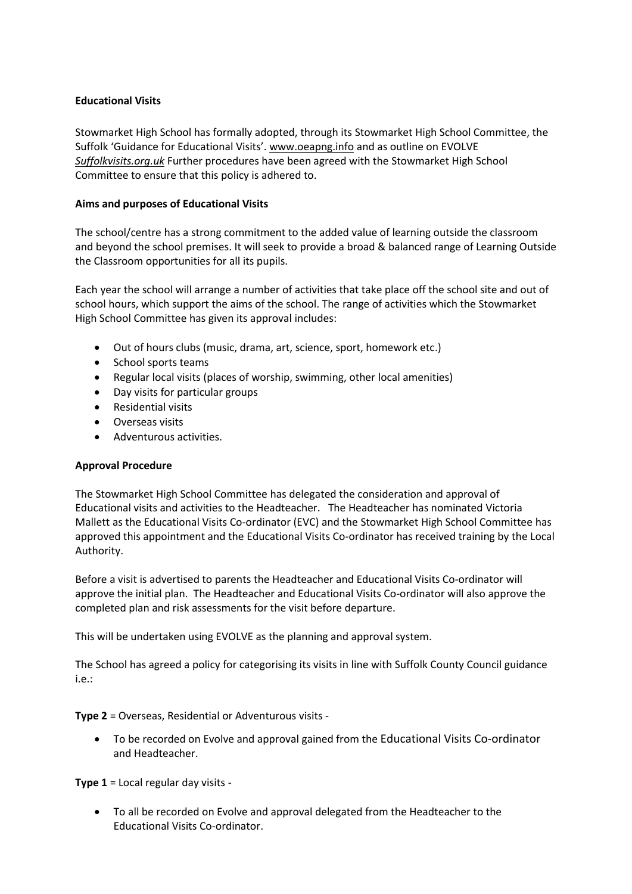## **Educational Visits**

Stowmarket High School has formally adopted, through its Stowmarket High School Committee, the Suffolk 'Guidance for Educational Visits'. [www.oeapng.info](http://www.oeapng.info/) and as outline on EVOLVE *Suffolkvisits.org.uk* Further procedures have been agreed with the Stowmarket High School Committee to ensure that this policy is adhered to.

## **Aims and purposes of Educational Visits**

The school/centre has a strong commitment to the added value of learning outside the classroom and beyond the school premises. It will seek to provide a broad & balanced range of Learning Outside the Classroom opportunities for all its pupils.

Each year the school will arrange a number of activities that take place off the school site and out of school hours, which support the aims of the school. The range of activities which the Stowmarket High School Committee has given its approval includes:

- Out of hours clubs (music, drama, art, science, sport, homework etc.)
- School sports teams
- Regular local visits (places of worship, swimming, other local amenities)
- Day visits for particular groups
- Residential visits
- Overseas visits
- Adventurous activities.

# **Approval Procedure**

The Stowmarket High School Committee has delegated the consideration and approval of Educational visits and activities to the Headteacher. The Headteacher has nominated Victoria Mallett as the Educational Visits Co-ordinator (EVC) and the Stowmarket High School Committee has approved this appointment and the Educational Visits Co-ordinator has received training by the Local Authority.

Before a visit is advertised to parents the Headteacher and Educational Visits Co-ordinator will approve the initial plan. The Headteacher and Educational Visits Co-ordinator will also approve the completed plan and risk assessments for the visit before departure.

This will be undertaken using EVOLVE as the planning and approval system.

The School has agreed a policy for categorising its visits in line with Suffolk County Council guidance i.e.:

**Type 2** = Overseas, Residential or Adventurous visits -

 To be recorded on Evolve and approval gained from the Educational Visits Co-ordinator and Headteacher.

**Type 1** = Local regular day visits -

 To all be recorded on Evolve and approval delegated from the Headteacher to the Educational Visits Co-ordinator.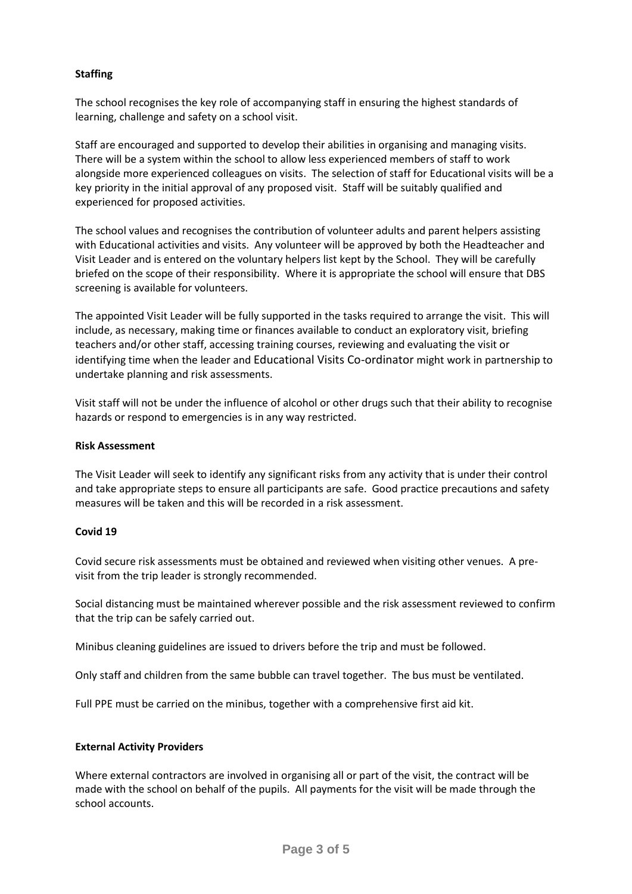## **Staffing**

The school recognises the key role of accompanying staff in ensuring the highest standards of learning, challenge and safety on a school visit.

Staff are encouraged and supported to develop their abilities in organising and managing visits. There will be a system within the school to allow less experienced members of staff to work alongside more experienced colleagues on visits. The selection of staff for Educational visits will be a key priority in the initial approval of any proposed visit. Staff will be suitably qualified and experienced for proposed activities.

The school values and recognises the contribution of volunteer adults and parent helpers assisting with Educational activities and visits. Any volunteer will be approved by both the Headteacher and Visit Leader and is entered on the voluntary helpers list kept by the School. They will be carefully briefed on the scope of their responsibility. Where it is appropriate the school will ensure that DBS screening is available for volunteers.

The appointed Visit Leader will be fully supported in the tasks required to arrange the visit. This will include, as necessary, making time or finances available to conduct an exploratory visit, briefing teachers and/or other staff, accessing training courses, reviewing and evaluating the visit or identifying time when the leader and Educational Visits Co-ordinator might work in partnership to undertake planning and risk assessments.

Visit staff will not be under the influence of alcohol or other drugs such that their ability to recognise hazards or respond to emergencies is in any way restricted.

#### **Risk Assessment**

The Visit Leader will seek to identify any significant risks from any activity that is under their control and take appropriate steps to ensure all participants are safe. Good practice precautions and safety measures will be taken and this will be recorded in a risk assessment.

#### **Covid 19**

Covid secure risk assessments must be obtained and reviewed when visiting other venues. A previsit from the trip leader is strongly recommended.

Social distancing must be maintained wherever possible and the risk assessment reviewed to confirm that the trip can be safely carried out.

Minibus cleaning guidelines are issued to drivers before the trip and must be followed.

Only staff and children from the same bubble can travel together. The bus must be ventilated.

Full PPE must be carried on the minibus, together with a comprehensive first aid kit.

#### **External Activity Providers**

Where external contractors are involved in organising all or part of the visit, the contract will be made with the school on behalf of the pupils. All payments for the visit will be made through the school accounts.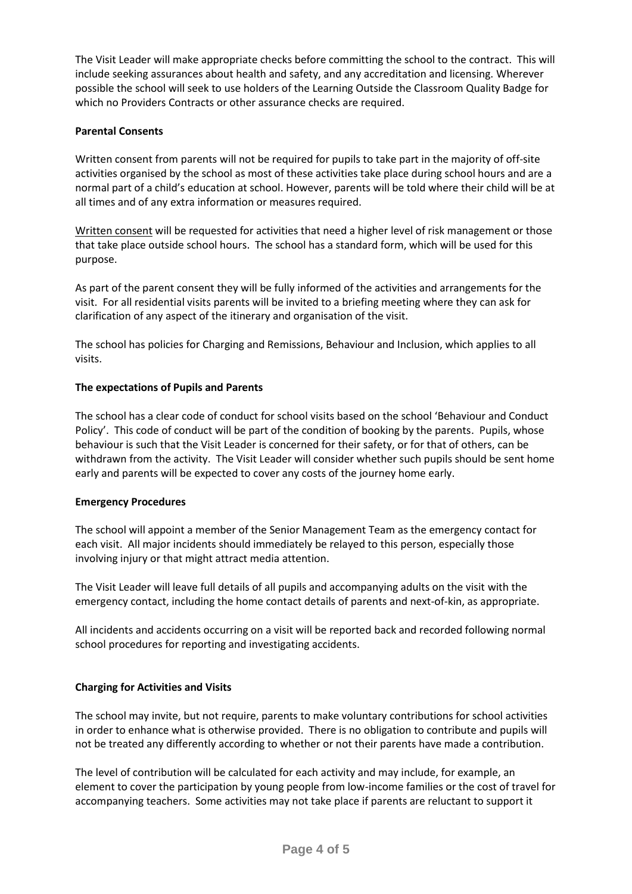The Visit Leader will make appropriate checks before committing the school to the contract. This will include seeking assurances about health and safety, and any accreditation and licensing. Wherever possible the school will seek to use holders of the Learning Outside the Classroom Quality Badge for which no Providers Contracts or other assurance checks are required.

## **Parental Consents**

Written consent from parents will not be required for pupils to take part in the majority of off-site activities organised by the school as most of these activities take place during school hours and are a normal part of a child's education at school. However, parents will be told where their child will be at all times and of any extra information or measures required.

Written consent will be requested for activities that need a higher level of risk management or those that take place outside school hours. The school has a standard form, which will be used for this purpose.

As part of the parent consent they will be fully informed of the activities and arrangements for the visit. For all residential visits parents will be invited to a briefing meeting where they can ask for clarification of any aspect of the itinerary and organisation of the visit.

The school has policies for Charging and Remissions, Behaviour and Inclusion, which applies to all visits.

## **The expectations of Pupils and Parents**

The school has a clear code of conduct for school visits based on the school 'Behaviour and Conduct Policy'. This code of conduct will be part of the condition of booking by the parents. Pupils, whose behaviour is such that the Visit Leader is concerned for their safety, or for that of others, can be withdrawn from the activity. The Visit Leader will consider whether such pupils should be sent home early and parents will be expected to cover any costs of the journey home early.

#### **Emergency Procedures**

The school will appoint a member of the Senior Management Team as the emergency contact for each visit. All major incidents should immediately be relayed to this person, especially those involving injury or that might attract media attention.

The Visit Leader will leave full details of all pupils and accompanying adults on the visit with the emergency contact, including the home contact details of parents and next-of-kin, as appropriate.

All incidents and accidents occurring on a visit will be reported back and recorded following normal school procedures for reporting and investigating accidents.

# **Charging for Activities and Visits**

The school may invite, but not require, parents to make voluntary contributions for school activities in order to enhance what is otherwise provided. There is no obligation to contribute and pupils will not be treated any differently according to whether or not their parents have made a contribution.

The level of contribution will be calculated for each activity and may include, for example, an element to cover the participation by young people from low-income families or the cost of travel for accompanying teachers. Some activities may not take place if parents are reluctant to support it